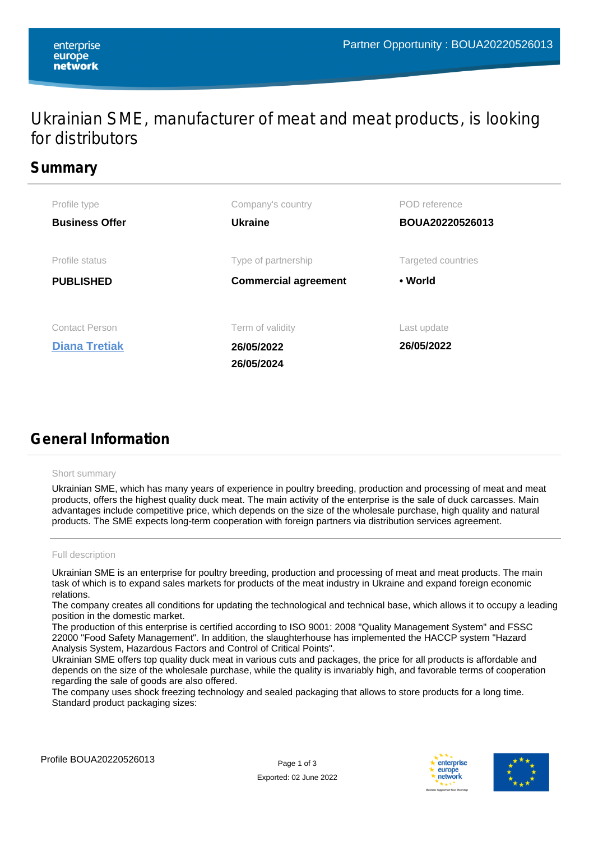## Ukrainian SME, manufacturer of meat and meat products, is looking for distributors

## **Summary**

| Profile type                                  | Company's country                            | POD reference             |
|-----------------------------------------------|----------------------------------------------|---------------------------|
| <b>Business Offer</b>                         | <b>Ukraine</b>                               | BOUA20220526013           |
| Profile status                                | Type of partnership                          | Targeted countries        |
| <b>PUBLISHED</b>                              | <b>Commercial agreement</b>                  | • World                   |
| <b>Contact Person</b><br><b>Diana Tretiak</b> | Term of validity<br>26/05/2022<br>26/05/2024 | Last update<br>26/05/2022 |

# **General Information**

#### Short summary

Ukrainian SME, which has many years of experience in poultry breeding, production and processing of meat and meat products, offers the highest quality duck meat. The main activity of the enterprise is the sale of duck carcasses. Main advantages include competitive price, which depends on the size of the wholesale purchase, high quality and natural products. The SME expects long-term cooperation with foreign partners via distribution services agreement.

### Full description

Ukrainian SME is an enterprise for poultry breeding, production and processing of meat and meat products. The main task of which is to expand sales markets for products of the meat industry in Ukraine and expand foreign economic relations.

The company creates all conditions for updating the technological and technical base, which allows it to occupy a leading position in the domestic market.

The production of this enterprise is certified according to ISO 9001: 2008 "Quality Management System" and FSSC 22000 "Food Safety Management". In addition, the slaughterhouse has implemented the HACCP system "Hazard Analysis System, Hazardous Factors and Control of Critical Points".

Ukrainian SME offers top quality duck meat in various cuts and packages, the price for all products is affordable and depends on the size of the wholesale purchase, while the quality is invariably high, and favorable terms of cooperation regarding the sale of goods are also offered.

The company uses shock freezing technology and sealed packaging that allows to store products for a long time. Standard product packaging sizes:



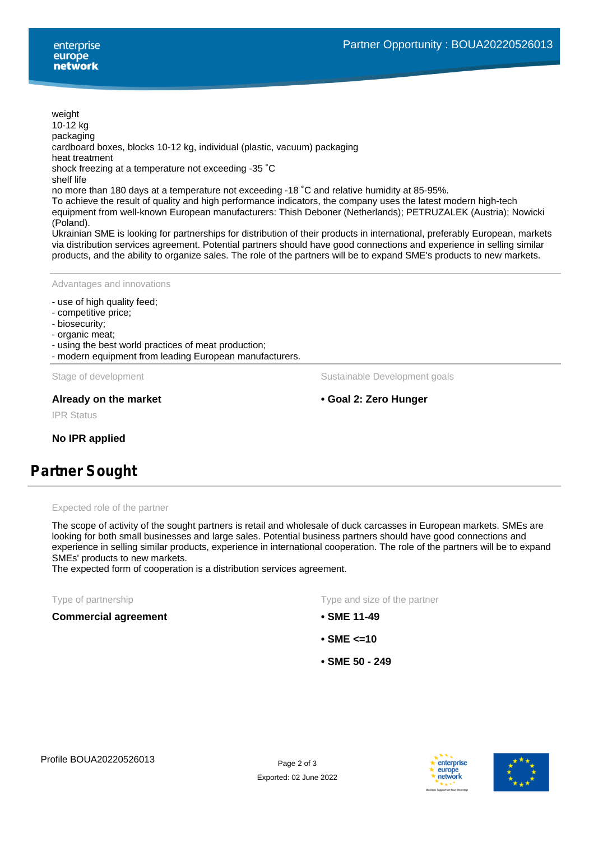weight 10-12 kg packaging cardboard boxes, blocks 10-12 kg, individual (plastic, vacuum) packaging heat treatment shock freezing at a temperature not exceeding -35 ˚C shelf life no more than 180 days at a temperature not exceeding -18 ˚C and relative humidity at 85-95%. To achieve the result of quality and high performance indicators, the company uses the latest modern high-tech equipment from well-known European manufacturers: Thish Deboner (Netherlands); PETRUZALEK (Austria); Nowicki

(Poland).

Ukrainian SME is looking for partnerships for distribution of their products in international, preferably European, markets via distribution services agreement. Potential partners should have good connections and experience in selling similar products, and the ability to organize sales. The role of the partners will be to expand SME's products to new markets.

Advantages and innovations

- use of high quality feed;
- competitive price;
- biosecurity;
- organic meat;
- using the best world practices of meat production;
- modern equipment from leading European manufacturers.

Stage of development The Sustainable Development goals

## **Already on the market • Goal 2: Zero Hunger**

IPR Status

**No IPR applied**

## **Partner Sought**

#### Expected role of the partner

The scope of activity of the sought partners is retail and wholesale of duck carcasses in European markets. SMEs are looking for both small businesses and large sales. Potential business partners should have good connections and experience in selling similar products, experience in international cooperation. The role of the partners will be to expand SMEs' products to new markets.

The expected form of cooperation is a distribution services agreement.

#### **Commercial agreement • SME 11-49**

Type of partnership Type and size of the partner

- 
- **SME <=10**
- **SME 50 249**